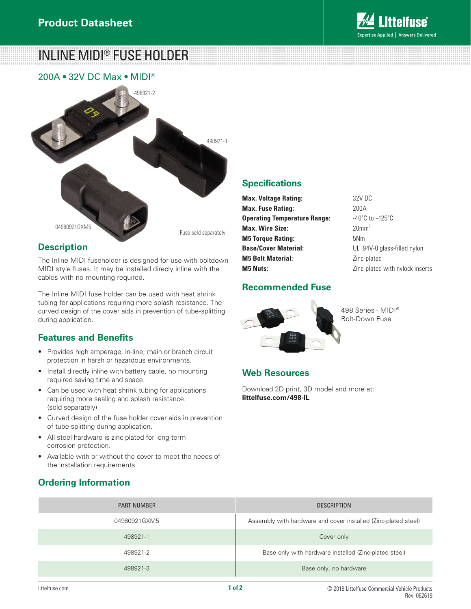

INLINE MIDI® FUSE HOLDER

200A • 32V DC Max • MIDI®



#### **Description**

The Inline MIDI fuseholder is designed for use with boltdown MIDI style fuses. It may be installed direcly inline with the cables with no mounting required.

The Inline MIDI fuse holder can be used with heat shrink tubing for applications requiring more splash resistance. The curved design of the cover aids in prevention of tube-splitting during application.

# **Features and Benefits**

- Provides high amperage, in-line, main or branch circuit protection in harsh or hazardous environments.
- Install directly inline with battery cable, no mounting required saving time and space.
- Can be used with heat shrink tubing for applications requiring more sealing and splash resistance. (sold separately)
- Curved design of the fuse holder cover aids in prevention of tube-splitting during application.
- All steel hardware is zinc-plated for long-term corrosion protection.
- Available with or without the cover to meet the needs of the installation requirements.

# **Ordering Information**

#### **Specifications**

| <b>Max. Voltage Rating:</b>         | 32V DC                              |
|-------------------------------------|-------------------------------------|
| <b>Max. Fuse Rating:</b>            | 200A                                |
| <b>Operating Temperature Range:</b> | $-40^{\circ}$ C to $+125^{\circ}$ C |
| <b>Max. Wire Size:</b>              | 20mm <sup>2</sup>                   |
| <b>M5 Torque Rating:</b>            | 5N <sub>m</sub>                     |
| <b>Base/Cover Material:</b>         | UL 94V-0 glass-filled nylon         |
| <b>M5 Bolt Material:</b>            | Zinc-plated                         |
| <b>M5 Nuts:</b>                     | Zinc-plated with nylock inserts     |

#### **Recommended Fuse**



498 Series - MIDI® Bolt-Down Fuse

# **Web Resources**

Download 2D print, 3D model and more at: **littelfuse.com/498-IL**

| <b>PART NUMBER</b> | <b>DESCRIPTION</b>                                             |
|--------------------|----------------------------------------------------------------|
| 04980921GXM5       | Assembly with hardware and cover installed (Zinc-plated steel) |
| 498921-1           | Cover only                                                     |
| 498921-2           | Base only with hardware installed (Zinc-plated steel)          |
| 498921-3           | Base only, no hardware                                         |